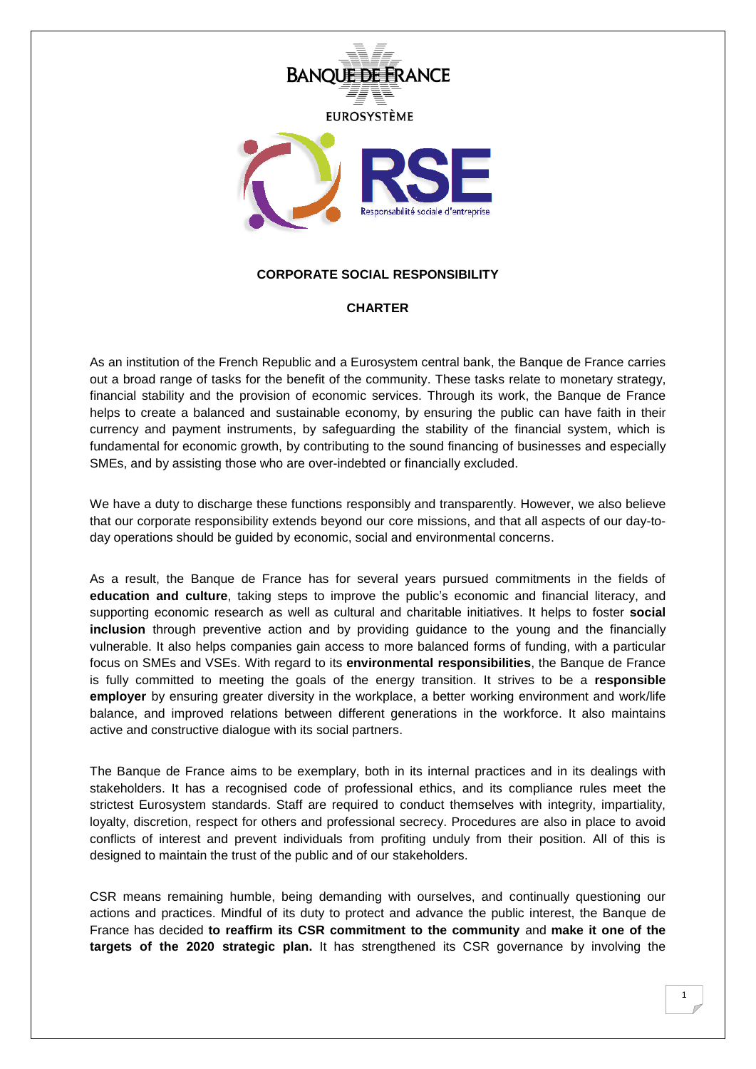

## **CORPORATE SOCIAL RESPONSIBILITY**

## **CHARTER**

As an institution of the French Republic and a Eurosystem central bank, the Banque de France carries out a broad range of tasks for the benefit of the community. These tasks relate to monetary strategy, financial stability and the provision of economic services. Through its work, the Banque de France helps to create a balanced and sustainable economy, by ensuring the public can have faith in their currency and payment instruments, by safeguarding the stability of the financial system, which is fundamental for economic growth, by contributing to the sound financing of businesses and especially SMEs, and by assisting those who are over-indebted or financially excluded.

We have a duty to discharge these functions responsibly and transparently. However, we also believe that our corporate responsibility extends beyond our core missions, and that all aspects of our day-today operations should be guided by economic, social and environmental concerns.

As a result, the Banque de France has for several years pursued commitments in the fields of **education and culture**, taking steps to improve the public's economic and financial literacy, and supporting economic research as well as cultural and charitable initiatives. It helps to foster **social inclusion** through preventive action and by providing guidance to the young and the financially vulnerable. It also helps companies gain access to more balanced forms of funding, with a particular focus on SMEs and VSEs. With regard to its **environmental responsibilities**, the Banque de France is fully committed to meeting the goals of the energy transition. It strives to be a **responsible employer** by ensuring greater diversity in the workplace, a better working environment and work/life balance, and improved relations between different generations in the workforce. It also maintains active and constructive dialogue with its social partners.

The Banque de France aims to be exemplary, both in its internal practices and in its dealings with stakeholders. It has a recognised code of professional ethics, and its compliance rules meet the strictest Eurosystem standards. Staff are required to conduct themselves with integrity, impartiality, loyalty, discretion, respect for others and professional secrecy. Procedures are also in place to avoid conflicts of interest and prevent individuals from profiting unduly from their position. All of this is designed to maintain the trust of the public and of our stakeholders.

CSR means remaining humble, being demanding with ourselves, and continually questioning our actions and practices. Mindful of its duty to protect and advance the public interest, the Banque de France has decided **to reaffirm its CSR commitment to the community** and **make it one of the targets of the 2020 strategic plan.** It has strengthened its CSR governance by involving the